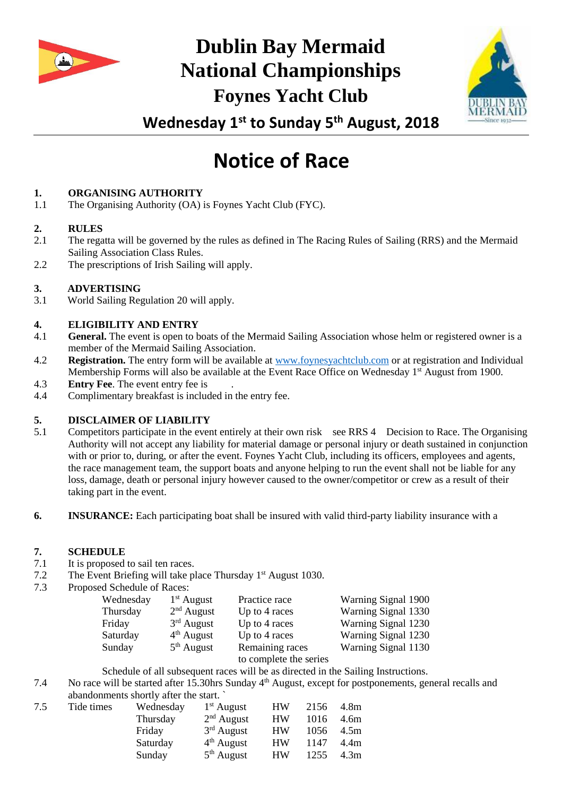

# **Dublin Bay Mermaid National Championships Foynes Yacht Club**



**Wednesday 1st to Sunday 5th August, 2018**

# **Notice of Race**

# **1. ORGANISING AUTHORITY**

1.1 The Organising Authority (OA) is Foynes Yacht Club (FYC).

#### **2. RULES**

- 2.1 The regatta will be governed by the rules as defined in The Racing Rules of Sailing (RRS) and the Mermaid Sailing Association Class Rules.
- 2.2 The prescriptions of Irish Sailing will apply.

## **3. ADVERTISING**

3.1 World Sailing Regulation 20 will apply.

#### **4. ELIGIBILITY AND ENTRY**

- 4.1 **General.** The event is open to boats of the Mermaid Sailing Association whose helm or registered owner is a member of the Mermaid Sailing Association.
- 4.2 **Registration.** The entry form will be available at [www.foynesyachtclub.com](http://www.foynesyachtclub.com/) or at registration and Individual Membership Forms will also be available at the Event Race Office on Wednesday 1<sup>st</sup> August from 1900.
- 4.3 **Entry Fee**. The event entry fee is
- 4.4 Complimentary breakfast is included in the entry fee.

## **5. DISCLAIMER OF LIABILITY**

- 5.1 Competitors participate in the event entirely at their own risk see RRS 4 Decision to Race. The Organising Authority will not accept any liability for material damage or personal injury or death sustained in conjunction with or prior to, during, or after the event. Foynes Yacht Club, including its officers, employees and agents, the race management team, the support boats and anyone helping to run the event shall not be liable for any loss, damage, death or personal injury however caused to the owner/competitor or crew as a result of their taking part in the event.
- **6. INSURANCE:** Each participating boat shall be insured with valid third-party liability insurance with a

#### **7. SCHEDULE**

- 7.1 It is proposed to sail ten races.
- 7.2 The Event Briefing will take place Thursday 1<sup>st</sup> August 1030.
- 7.3 Proposed Schedule of Races:

| Wednesday | $1st$ August | Practice race          | Warning Signal 1900 |
|-----------|--------------|------------------------|---------------------|
| Thursday  | $2nd$ August | Up to 4 races          | Warning Signal 1330 |
| Friday    | $3rd$ August | Up to 4 races          | Warning Signal 1230 |
| Saturday  | $4th$ August | Up to 4 races          | Warning Signal 1230 |
| Sunday    | $5th$ August | Remaining races        | Warning Signal 1130 |
|           |              | to complete the series |                     |

Schedule of all subsequent races will be as directed in the Sailing Instructions.

7.4 No race will be started after 15.30hrs Sunday 4<sup>th</sup> August, except for postponements, general recalls and abandonments shortly after the start. `

| 7.5 | Tide times | Wednesday | $1st$ August | HW        | 2156 | 4.8m             |
|-----|------------|-----------|--------------|-----------|------|------------------|
|     |            | Thursday  | $2nd$ August | <b>HW</b> | 1016 | 4.6m             |
|     |            | Friday    | $3rd$ August | <b>HW</b> | 1056 | 4.5m             |
|     |            | Saturday  | $4th$ August | <b>HW</b> | 1147 | 4.4m             |
|     |            | Sunday    | $5th$ August | <b>HW</b> | 1255 | 4.3 <sub>m</sub> |
|     |            |           |              |           |      |                  |